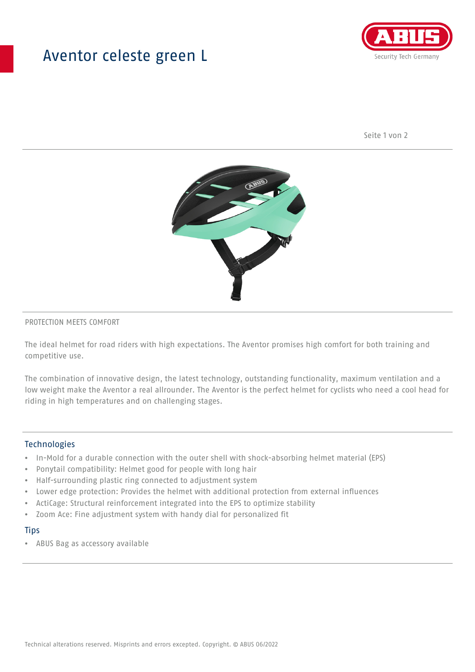## Aventor celeste green L



Seite 1 von 2



#### PROTECTION MEETS COMFORT

The ideal helmet for road riders with high expectations. The Aventor promises high comfort for both training and competitive use.

The combination of innovative design, the latest technology, outstanding functionality, maximum ventilation and a low weight make the Aventor a real allrounder. The Aventor is the perfect helmet for cyclists who need a cool head for riding in high temperatures and on challenging stages.

#### **Technologies**

- In-Mold for a durable connection with the outer shell with shock-absorbing helmet material (EPS)
- Ponytail compatibility: Helmet good for people with long hair
- Half-surrounding plastic ring connected to adjustment system
- Lower edge protection: Provides the helmet with additional protection from external influences
- ActiCage: Structural reinforcement integrated into the EPS to optimize stability
- Zoom Ace: Fine adjustment system with handy dial for personalized fit

#### **Tips**

• ABUS Bag as accessory available